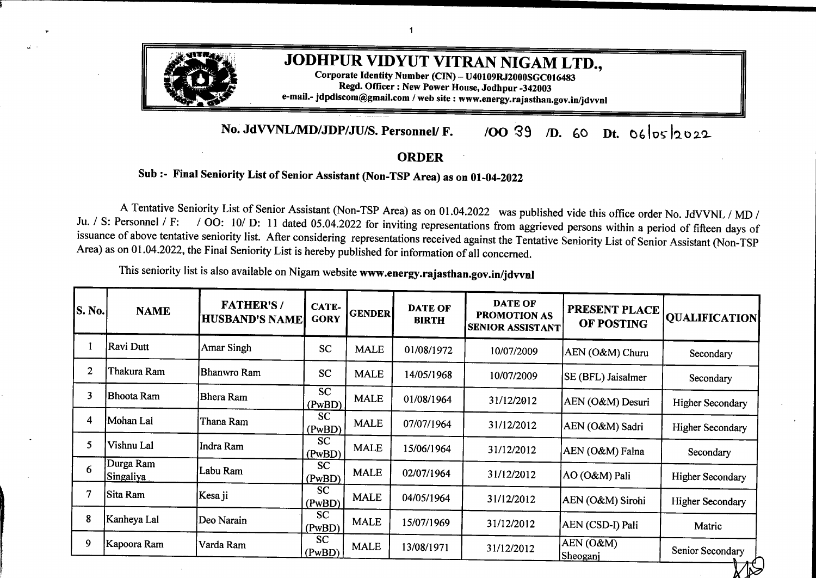

## **No. JdVVNL/MD/JDPIJUIS. Personnel/ F.** /00 39 *D.* 60 Dt. 06/05/2022

## **ORDER**

## **Sub :- Final Seniority List of Senior Assistant (Non-TSP Area) as on 01-04-2022**

A Tentative Seniority List of Senior Assistant (Non-TSP Area) as on 01.04.2022 was published vide this office order No. JdVVNL / MD /<br>Ju. / S: Personnel / F: / OO: 10/ D: 11 dated 05.04.2022 for inviting representations fr / OO: 10/ D: 11 dated 05.04.2022 for inviting representations from aggrieved persons within a period of fifteen days of issuance of above tentative seniority list. After considering representations received against the Tentative Seniority List of Senior Assistant (Non-TSP Area) as on 01.04.2022, the Final Seniority List is hereby published for information of all concerned.

This seniority list is also available on Nigam website **www.energy.rajasthan.gov.in/jdvvnl**

| <b>S. No.</b> | <b>NAME</b>            | <b>FATHER'S/</b><br><b>HUSBAND'S NAME</b> | CATE-<br><b>GORY</b> | <b>GENDER</b> | <b>DATE OF</b><br><b>BIRTH</b> | <b>DATE OF</b><br>PROMOTION AS<br><b>SENIOR ASSISTANT</b> | PRESENT PLACE<br>OF POSTING | <b>QUALIFICATION</b>    |
|---------------|------------------------|-------------------------------------------|----------------------|---------------|--------------------------------|-----------------------------------------------------------|-----------------------------|-------------------------|
|               | Ravi Dutt              | Amar Singh                                | <b>SC</b>            | <b>MALE</b>   | 01/08/1972                     | 10/07/2009                                                | AEN (O&M) Churu             | Secondary               |
| 2             | Thakura Ram            | Bhanwro Ram                               | <b>SC</b>            | <b>MALE</b>   | 14/05/1968                     | 10/07/2009                                                | <b>SE (BFL)</b> Jaisalmer   | Secondary               |
| 3             | Bhoota Ram             | <b>Bhera Ram</b>                          | <b>SC</b><br>(PwBD)  | <b>MALE</b>   | 01/08/1964                     | 31/12/2012                                                | AEN (O&M) Desuri            | <b>Higher Secondary</b> |
| 4             | Mohan Lal              | Thana Ram                                 | <b>SC</b><br>(PwBD)  | <b>MALE</b>   | 07/07/1964                     | 31/12/2012                                                | AEN (O&M) Sadri             | <b>Higher Secondary</b> |
| 5             | Vishnu Lal             | Indra Ram                                 | <b>SC</b><br>(PwBD)  | <b>MALE</b>   | 15/06/1964                     | 31/12/2012                                                | AEN (O&M) Falna             | Secondary               |
| 6             | Durga Ram<br>Singaliya | Labu Ram                                  | <b>SC</b><br>(PwBD)  | <b>MALE</b>   | 02/07/1964                     | 31/12/2012                                                | AO (O&M) Pali               | <b>Higher Secondary</b> |
|               | Sita Ram               | Kesa ji                                   | <b>SC</b><br>(PwBD)  | <b>MALE</b>   | 04/05/1964                     | 31/12/2012                                                | AEN (O&M) Sirohi            | <b>Higher Secondary</b> |
| 8             | Kanheya Lal            | Deo Narain                                | <b>SC</b><br>(PwBD)  | <b>MALE</b>   | 15/07/1969                     | 31/12/2012                                                | AEN (CSD-I) Pali            | Matric                  |
| 9             | Kapoora Ram            | Varda Ram                                 | <b>SC</b><br>(PwBD)  | <b>MALE</b>   | 13/08/1971                     | 31/12/2012                                                | AEN (O&M)<br>Sheoganj       | Senior Secondary        |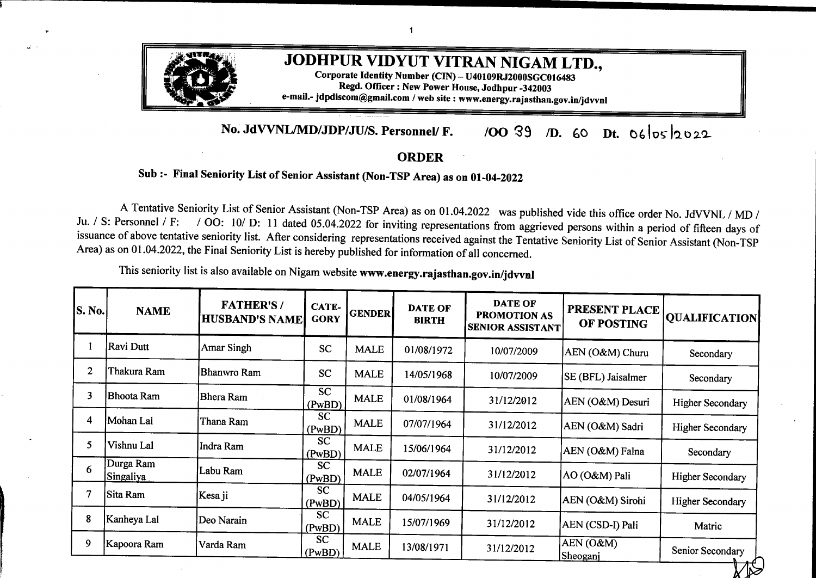| <b>S. No.</b> | <b>NAME</b>                | <b>FATHER'S/</b><br><b>HUSBAND'S NAME</b> | <b>CATE-</b><br><b>GORY</b> | <b>GENDER</b> | <b>DATE OF</b><br><b>BIRTH</b> | <b>DATE OF</b><br>PROMOTION AS<br>SENIOR ASSISTANT | PRESENT PLACE<br>OF POSTING                            | <b>QUALIFICATION</b>    |
|---------------|----------------------------|-------------------------------------------|-----------------------------|---------------|--------------------------------|----------------------------------------------------|--------------------------------------------------------|-------------------------|
| 10            | Bhera Ram Meghwal Vena Ram |                                           | <b>SC</b><br>(PwBD)         | <b>MALE</b>   | 20/08/1965                     | 31/12/2012                                         | AEN(O&M)<br>Sheoganj                                   | Senior Secondary        |
| 11            | Kesa Ram                   | Badaji                                    | <b>SC</b><br>(PwBD)         | <b>MALE</b>   | 20/09/1970                     | 31/12/2012                                         | AEN (O&M)<br>Pindwara                                  | <b>Higher Secondary</b> |
| 12            | Gajanand                   | Sri Ram Panwar                            | <b>SC</b>                   | <b>MALE</b>   | 08/02/1973                     | 31/12/2012                                         | AEN (O&M) Pallu                                        | <b>BA</b>               |
| 13            | Kewal Chand<br>Bamniya     | Mangi Lal                                 | <b>SC</b>                   | <b>MALE</b>   | 01/07/1969                     | 31/12/2012                                         | AEN (O&M) Bilara                                       | Secondary               |
| 14            | Prakash Chand              | <b>Bhana Ram</b>                          | <b>SC</b>                   | <b>MALE</b>   | 31/08/1974                     | 31/12/2012                                         | AEN (O&M) Pipar<br><b>City</b>                         | <b>BA</b>               |
| 15            | Vijendra Kumar             | Daya Nand                                 | <b>SC</b>                   | <b>MALE</b>   | 15/01/1972                     | 31/12/2012                                         | AEN (O&M) Sadulpur                                     | Senior Secondary        |
| 16            | Seema Parihar              | Rohitash                                  | <b>SC</b>                   | <b>FEMALE</b> | 10/07/1977                     | 31/12/2012                                         | AEN (O&M)<br>Hanumangarh Town                          | Senior Secondary        |
| 17            | Sambhu Ram                 | Patta Ram                                 | <b>SC</b>                   | <b>MALE</b>   | 01/12/1974                     | 31/12/2012                                         | <b>XEN</b> (Civil) Barmer                              | IInd Year               |
| 18            | Ganga Ram                  | Jetha Ram                                 | <b>SC</b><br>(PwBD)         | <b>MALE</b>   | 16/04/1968                     | 31/12/2012                                         | AEN (O&M)<br>Hanumangarh                               | BA                      |
| 19            | Rajendra Kumar             | Birja Ram                                 | SC<br>(PwBD)                | <b>MALE</b>   | 12/06/1976                     | 31/12/2012                                         | AEN (O&M)<br>Rawatsar                                  | Senior Secondary        |
| 20            | Nimba Ram                  | Moda Ram                                  | <b>SC</b><br>(PwBD)         | <b>MALE</b>   | 15/12/1975                     | 10/02/2014                                         | XEN (O&M) Barmer                                       | <b>Higher Secondary</b> |
| 21            | Mahesh Kumar               | Murlidhar                                 | <b>GEN</b>                  | <b>MALE</b>   | 18/08/1969                     | 22/10/2014                                         | $\overline{\text{AEN}(\text{O\&M})}$<br>Keshrisinghpur | <b>BA</b>               |
| 22            | Bhawani Singh<br>Ranawat   | Khangar Singh<br>Ranawat                  | <b>GEN</b>                  | <b>MALE</b>   | 03/07/1974                     | 22/10/2014                                         | AEN (O&M)<br>Sumerpur                                  | Senior Secondary        |
| 23            | Gauri Shankar              | Chhotu Lal                                | <b>SC</b>                   | <b>MALE</b>   | 10/07/1972                     | 22/10/2014                                         | AEN (O&M) Nohar                                        | Ist Year                |
| 24            | <b>Babu Ram</b>            | <b>Bhoma Ram</b>                          | <b>SC</b><br>(PwBD)         | <b>MALE</b>   | 03/12/1974                     | 22/10/2014                                         | AEN (O&M) Balotra                                      | BA                      |
| 25            | Hans Ram                   | Bhudha Ram                                | <b>SC</b><br>(PwBD)         | <b>MALE</b>   | 12/07/1979                     | 22/10/2014                                         | AEN (O&M)<br>Sadulsahar                                | Sr. Secondary           |
| 26            | Roopa Ram<br>Meghwal       | Kesha Ram                                 | $\overline{SC}$<br>(PwBD)   | <b>MALE</b>   | 01/07/1973                     | 22/10/2014                                         | AEN (O&M)<br>Pindwara                                  | <b>BA</b>               |
| 27            | Padam Singh                | Deen Dayal                                | <b>GEN</b><br>(PwBD)        | <b>MALE</b>   | 20/08/1969                     | 17/09/2015                                         | AEN (O&M)<br>Jaisalmer                                 | Secondary               |
| 28            | Pawan Kumar                | Raghunath Pd. Sharma                      | <b>GEN</b>                  | <b>MALE</b>   | 10/07/1975                     | 17/09/2015                                         | AEN (City - II) Churu                                  | Sr. Sec.                |
|               |                            |                                           |                             |               |                                |                                                    |                                                        |                         |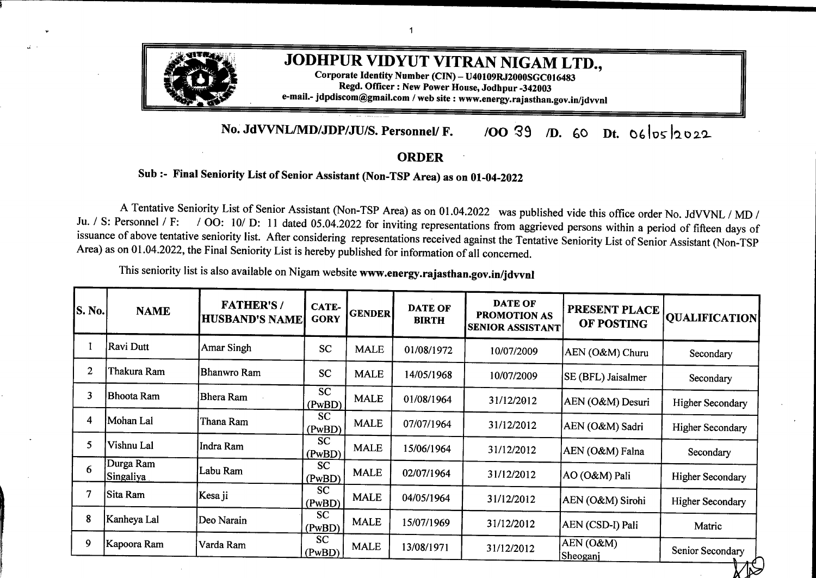| S. No. | <b>NAME</b>                      | <b>FATHER'S/</b><br><b>HUSBAND'S NAME</b> | CATE-<br><b>GORY</b> | <b>GENDER</b> | <b>DATE OF</b><br><b>BIRTH</b> | <b>DATE OF</b><br><b>PROMOTION AS</b><br><b>SENIOR ASSISTANT</b> | PRESENT PLACE<br>OF POSTING           | <b>QUALIFICATION</b> |
|--------|----------------------------------|-------------------------------------------|----------------------|---------------|--------------------------------|------------------------------------------------------------------|---------------------------------------|----------------------|
| 29     | Manoj Deora                      | Om Prakash Deora                          | <b>GEN</b>           | <b>MALE</b>   | 04/06/1976                     | 17/09/2015                                                       | SE(DC) Jodhpur                        | Secondary            |
| 30     | Mahveer Pd. Khatri               | Jai Narain                                | <b>GEN</b>           | <b>MALE</b>   | 09/05/1976                     | 17/09/2015                                                       | <b>ACOS Bikaner</b>                   | Sr. Sec.             |
| 31     | <b>Chander Mohan</b><br>Kachhawa | Ram gopal                                 | OBC                  | <b>MALE</b>   | 22/06/1976                     | 17/09/2015                                                       | <b>ACOS Bikaner</b>                   | Sr. Sec.             |
| 32     | Mohd.Mohsin                      | Abdul Wahid                               | <b>GEN</b>           | <b>MALE</b>   | 14/11/1973                     | 17/09/2015                                                       | AEN (O&M) Churu                       | Secondary            |
| 33     | Amar Singh                       | <b>Himmat Singh</b>                       | <b>GEN</b>           | <b>MALE</b>   | 05/08/1976                     | 17/09/2015                                                       | AEN (O&M)<br>Thendesar                | Secondary            |
| 34     | Shyam Singh                      | Dhanna Ram                                | <b>GEN</b>           | <b>MALE</b>   | 15/12/1975                     | 17/09/2015                                                       | AEN (O&M) Bali                        | Sr. Sec.             |
| 35     | Madan Singh                      | Ranjit Singh                              | <b>GEN</b>           | <b>MALE</b>   | 27/03/1972                     | 17/09/2015                                                       | SE (O&M) Sirohi                       | <b>BA</b>            |
| 36     | S. Mohamad                       | Amir Mohamad                              | <b>GEN</b>           | <b>MALE</b>   | 02/07/1974                     | 17/09/2015                                                       | AEN (O&M) Padru                       | Sr. Sec.             |
| 37     | Sarwan Kumar<br>Prajapat         | Sugna Ram                                 | OBC                  | <b>MALE</b>   | 20/09/1972                     | 17/09/2015                                                       | AEN (O&M-I)<br>Sridungargarh          | <b>BA</b>            |
| 38     | <b>Ratan Singh</b>               | Kan Singh                                 | <b>GEN</b>           | <b>MALE</b>   | 10/05/1975                     | 17/09/2015                                                       | AEN (CSD-II) Pali                     | Sr. Sec.             |
| 39     | Gyaneshwar Lal                   | Durga Lal                                 | <b>GEN</b>           | <b>MALE</b>   | 02/06/1962                     | 17/09/2015                                                       | AEN (CSD-C-II) Ju.                    | Sr. Sec.             |
| 40     | Ravindra Kr.Munjal               | Inder Pal                                 | <b>GEN</b><br>(PwBD) | <b>MALE</b>   | 06/07/1979                     | 17/09/2015                                                       | <b>AEN</b> (CSD-III)<br>Sriganganagar | Matric               |
| 41     | Chanan Mal                       | Punam Chand                               | <b>OBC</b><br>(PwBD) | <b>MALE</b>   | 30/07/1963                     | 17/09/2015                                                       | AEN (O&M)<br>Gogamedi                 | Secondary            |
| 42     | Satya Narain Sharma Hari Ram     |                                           | <b>GEN</b><br>(PwBD) | <b>MALE</b>   | 01/01/1968                     | 17/09/2015                                                       | AEN (O&M)<br>Hanumangarh Town         | Secondary            |
| 43     | Ramu Ram Verma                   | Surja Ram                                 | OBC                  | <b>MALE</b>   | 25/04/1970                     | 17/09/2015                                                       | AEN (O&M) Lalgarh<br>Jattan           | Sr. Sec.             |
| 44     | Jasmer Singh                     | Dilawar Singh                             | OBC<br>(PwBD)        | <b>MALE</b>   | 04/03/1970                     | 17/09/2015                                                       | <b>AEN</b> (Rural)<br>Sriganganagar   | Matric               |
| 45     | Jasvinder Singh                  | Sheetal Singh                             | <b>GEN</b><br>(PwBD) | <b>MALE</b>   | 05/07/1972                     | 17/09/2015                                                       | AEN (O&M) Jaitsar                     | Matric               |
| 46     | Ram Chander                      | <b>Govind Ram</b>                         | <b>GEN</b><br>(PwBD) | <b>MALE</b>   | 01/10/1964                     | 17/09/2015                                                       | <b>AEN</b> (CSD-III)<br>Sriganganagar | M.COM                |
| 47     | Rakesh Kumar                     | Govind Lal                                | <b>GEN</b><br>(PwBD) | <b>MALE</b>   | 15/08/1968                     | 17/09/2015                                                       | $AEN (O\&M)$<br>Keshrisinghpur        | <b>BA</b>            |
|        |                                  |                                           |                      |               |                                |                                                                  |                                       |                      |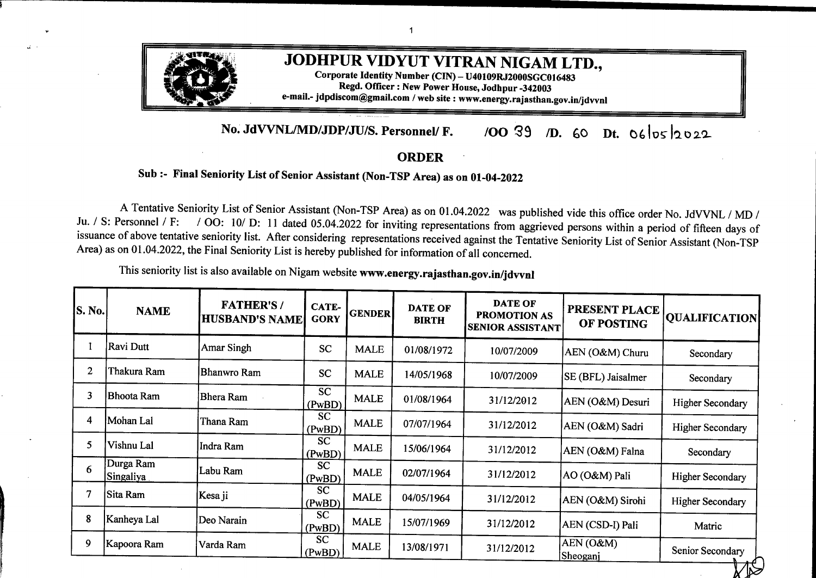| S. No. | <b>NAME</b>                  | <b>FATHER'S/</b><br><b>HUSBAND'S NAME</b> | <b>CATE-</b><br><b>GORY</b> | <b>GENDER</b> | <b>DATE OF</b><br><b>BIRTH</b> | <b>DATE OF</b><br>PROMOTION AS<br><b>SENIOR ASSISTANT</b> | <b>PRESENT PLACE</b><br>OF POSTING | <b>QUALIFICATION</b> |
|--------|------------------------------|-------------------------------------------|-----------------------------|---------------|--------------------------------|-----------------------------------------------------------|------------------------------------|----------------------|
| 48     | Gautam Chand                 | Gheesu lal                                | <b>SC</b>                   | <b>MALE</b>   | 10/07/1977                     | 17/09/2015                                                | XEN (O&M) Sojat<br>City            | <b>B.SC</b>          |
| 49     | <b>Ram Dev</b>               | Nanu Ram                                  | <b>SC</b>                   | <b>MALE</b>   | 02/11/1974                     | 17/09/2015                                                | AEN (O&M)<br>Raisinghnagar         | M.Com                |
| 50     | Dinesh Kumar                 | Kapura Ram                                | <b>SC</b>                   | <b>MALE</b>   | 25/02/1978                     | 17/09/2015                                                | AEN (O&M)<br>Kalandari             | <b>BA</b>            |
| 51     | Banwari Lal                  | Kana Ram                                  | <b>SC</b>                   | <b>MALE</b>   | 20/12/1980                     | 17/09/2015                                                | AEN (O&M)<br>Raisinghnagar         | <b>BA</b>            |
| 52     | Jagpal Singh                 | Charanjeet Singh                          | <b>GEN</b>                  | <b>MALE</b>   | 02/06/1975                     | 05/10/2016                                                | XEN (CD)<br>Sriganganagar          | Matric               |
| 53     | Mahesh Chawala               | Ram Prakash                               | <b>GEN</b>                  | <b>MALE</b>   | 05/06/1966                     | 05/10/2016                                                | AEN (O&M)<br>Padampur              | Sr. Sec.             |
| 54     | Aabid Hussain                | Zafar Hussain                             | <b>GEN</b>                  | <b>MALE</b>   | 11/09/1969                     | 05/10/2016                                                | <b>AEN</b> (Training)<br>Jodhpur   | <b>B.COM</b>         |
| 55     | Rajendra Singh               | Mangal Singh                              | <b>GEN</b>                  | <b>MALE</b>   | 12/08/1975                     | 05/10/2016                                                | AEN (O&M) Sirohi                   | Secondary            |
| 56     | <b>Mahesh Mathur</b>         | Hulash Mathur                             | <b>GEN</b>                  | <b>MALE</b>   | 10/04/1969                     | 05/10/2016                                                | AEN (CSD-D-I)<br>Jodhpur           | Secondary            |
| 57     | Gajdan                       | Viradh Dan                                | <b>GEN</b>                  | <b>MALE</b>   | 05/01/1976                     | 05/10/2016                                                | AEN (O&M) Ramsar                   | Sr. Sec.             |
| 58     | Ashok Kumar Soni             | Mohan Lal                                 | <b>GEN</b>                  | <b>MALE</b>   | 04/10/1973                     | 05/10/2016                                                | ZCE (BZ) Bikaner                   | Secondary            |
| 59     | Ikbal Singh                  | Manjeet Singh                             | <b>GEN</b>                  | <b>MALE</b>   | 18/03/1972                     | 05/10/2016                                                | ACOS, Hanumangarh<br>Jn.           | <b>B.SC</b>          |
| 60     | Kanti Prasad Bohra           | Shanti Prasad                             | <b>GEN</b>                  | <b>MALE</b>   | 05/05/1971                     | 05/10/2016                                                | AEN (CSD-D-I)<br>Jodhpur           | <b>BA</b>            |
| 61     | Govind Singh                 | Gordhan Singh                             | <b>GEN</b><br>(PwBD)        | <b>MALE</b>   | 20/08/1969                     | 05/10/2016                                                | <b>AEN</b> (Rural) Pali            | Sr. Sec.             |
| 62     | Bheru Lal Kalal              | Shes Mal                                  | <b>GEN</b><br>(PwBD)        | <b>MALE</b>   | 13/07/1972                     | 05/10/2016                                                | AEN (Vig) Pali                     | Sr. Sec.             |
| 63     | Deepa Ram                    | Jasha Ram                                 | <b>GEN</b><br>(PwBD)        | <b>MALE</b>   | 15/09/1968                     | 05/10/2016                                                | AEN (O&M) Kharchi                  | Sr. Sec.             |
| 64     | Mahendra Singh               | <b>Mohan Singh</b>                        | <b>GEN</b>                  | <b>MALE</b>   | 19/06/1972                     | 05/10/2016                                                | ZCE (J/Z) Jodhpur                  | Graduate             |
| 65     | Kirat Singh                  | Roop Singh                                | <b>GEN</b>                  | <b>MALE</b>   | 17/08/1971                     | 05/10/2016                                                | AEN (O&M)<br>Raniwara              | Sr. Secondary        |
| 66     | Santosh Kumar Vyas Ghanshyam |                                           | <b>GEN</b>                  | <b>MALE</b>   | 15/03/1977                     | 05/10/2016                                                | AEN (Vig.) Bikaner                 | Sr. Sec.             |

 $\mathcal{L}^{\text{max}}_{\text{max}}$ 

 $\mathbb{P}^1(\mathbb{R}^d)$  and  $\mathbb{R}^d$  . The set of  $\mathbb{R}^d$  $\mathbf{d}^{\left(1\right)}$  and  $\mathbf{d}^{\left(2\right)}$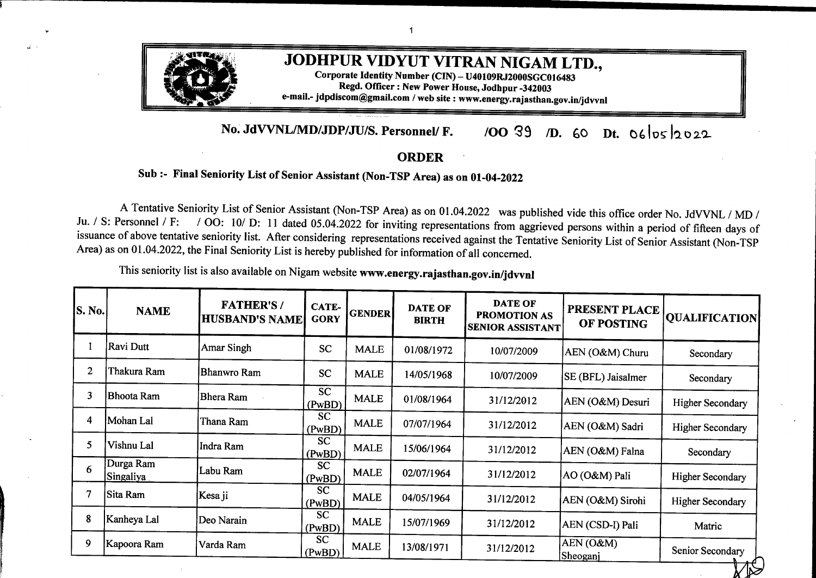| S. No. | <b>NAME</b>            | <b>FATHER'S/</b><br><b>HUSBAND'S NAME</b> | CATE-<br><b>GORY</b> | <b>GENDER</b> | <b>DATE OF</b><br><b>BIRTH</b> | <b>DATE OF</b><br><b>PROMOTION AS</b><br><b>SENIOR ASSISTANT</b> | PRESENT PLACE<br>OF POSTING           | <b>OUALIFICATION</b> |
|--------|------------------------|-------------------------------------------|----------------------|---------------|--------------------------------|------------------------------------------------------------------|---------------------------------------|----------------------|
| 67     | Kamal Kumar<br>Kothari | Krishan Kumar                             | <b>GEN</b>           | <b>MALE</b>   | 04/07/1975                     | 05/10/2016                                                       | SE (DC) Bikaner                       | <b>B.COM</b>         |
| 68     | Raj Kumar Purohit      | Brij Kumar                                | <b>GEN</b>           | <b>MALE</b>   | 29/07/1968                     | 05/10/2016                                                       | AEN (M&P-II)<br>Jodhpur               | Sr. Sec.             |
| 69     | Niranjan Sharma        | Prem Chand                                | <b>GEN</b><br>(PwBD) | <b>MALE</b>   | 10/04/1968                     | 05/10/2016                                                       | XEN (O&M)<br>Sujangarh                | MBA (Finance)        |
| 70     | <b>Anand Gopal</b>     | Natwar lal                                | <b>GEN</b>           | <b>MALE</b>   | 16/06/1979                     | 05/10/2016                                                       | XEN (Civil) Bikaner                   | Secondary            |
| 71     | Raj Kumar Swami        | Bhiya Ram                                 | <b>OBC</b>           | <b>MALE</b>   | 05/10/1970                     | 05/10/2016                                                       | <b>AEN</b> (Rural)<br>Hanumangarh Jn. | Sr. Sec.             |
| 72     | Basant Kumar           | Nathu Ram                                 | <b>GEN</b>           | <b>MALE</b>   | 28/01/1976                     | 05/10/2016                                                       | AEN (O&M)<br>Khajuwala                | Secondary            |
| 73     | <b>Umaid Singh</b>     | <b>Ram Singh</b>                          | <b>GEN</b>           | <b>MALE</b>   | 20/02/1977                     | 05/10/2016                                                       | AEN (O&M)<br>Sardarsahar              | Secondary            |
| 74     | Harish Kumar           | Ajyab Ram                                 | <b>GEN</b>           | <b>MALE</b>   | 11/09/1969                     | 05/10/2016                                                       | AEN (C-III)<br>Sriganganagar          | Matric               |
| 75     | Kishan Lal             | Amba Lal                                  | <b>OBC</b>           | <b>MALE</b>   | 15/02/1970                     | 05/10/2016                                                       | AEN (O&M) Osian                       | <b>B.COM</b>         |
| 76     | Chatarpal Singh        | Ratan Singh                               | <b>GEN</b>           | <b>MALE</b>   | 04/11/1975                     | 05/10/2016                                                       | AEN (M&P-I) Jodhpur                   | <b>MBA</b>           |
| 77     | Yogendra Kalla         | K.K. Kalla                                | <b>GEN</b>           | <b>MALE</b>   | 19/11/1976                     | 05/10/2016                                                       | SE (MM&C) Jodhpur                     | Secondary            |
| 78     | Vijay Pal Singh        | <b>Ishwar Singh Vadav</b>                 | <b>GEN</b>           | <b>MALE</b>   | 27/05/1965                     | 05/10/2016                                                       | IAP (Exp) Bikaner                     | <b>B.COM</b>         |
| 79     | Mohmed Shahid          | Nisar Ahmed                               | OBC                  | <b>MALE</b>   | 04/08/1972                     | 05/10/2016                                                       | SE (DC) Jodhpur                       | Secondary            |
| 80     | Sanjay Kumar           | Sambhu Dayal Devasi                       | <b>SBC</b>           | <b>MALE</b>   | 17/03/1976                     | 05/10/2016                                                       | SE (CIVIL) Jodhpur                    | <b>BA</b>            |
| 81     | Narayan Ram            | Ramlal                                    | <b>OBC</b>           | <b>MALE</b>   | 08/07/1969                     | 05/10/2016                                                       | AEN (O&M) Borunda                     | <b>BA</b>            |
| 82     | Vijay Singh            | <b>Sultan Singh</b>                       | <b>GEN</b>           | <b>MALE</b>   | 31/05/1975                     | 05/10/2016                                                       | XEN (O&M)<br>Ratangarh                | Post Graduate        |
| 83     | Noor Hasan             | Bhanwaroo Khan                            | <b>GEN</b>           | <b>MALE</b>   | 22/05/1977                     | 05/10/2016                                                       | AEN (O&M) Churu                       | Graduate             |
| 84     | Padam Singh            | Daulat Singh                              | <b>GEN</b>           | <b>MALE</b>   | 13/05/1973                     | 05/10/2016                                                       | AEN (CSD-D-I)<br>Jodhpur              | <b>BA</b>            |
| 85     | Bihari Singh           | Shanker Dan                               | <b>OBC</b>           | <b>MALE</b>   | 22/03/1972                     | 05/10/2016                                                       | XEN (O&M) Bilara                      | MA                   |
|        |                        |                                           |                      |               |                                |                                                                  |                                       |                      |

 $\mathcal{L}^{\mathcal{L}}$ 

 $\mathcal{A}^{\mathcal{A}}$ 

 $\sim$   $\sim$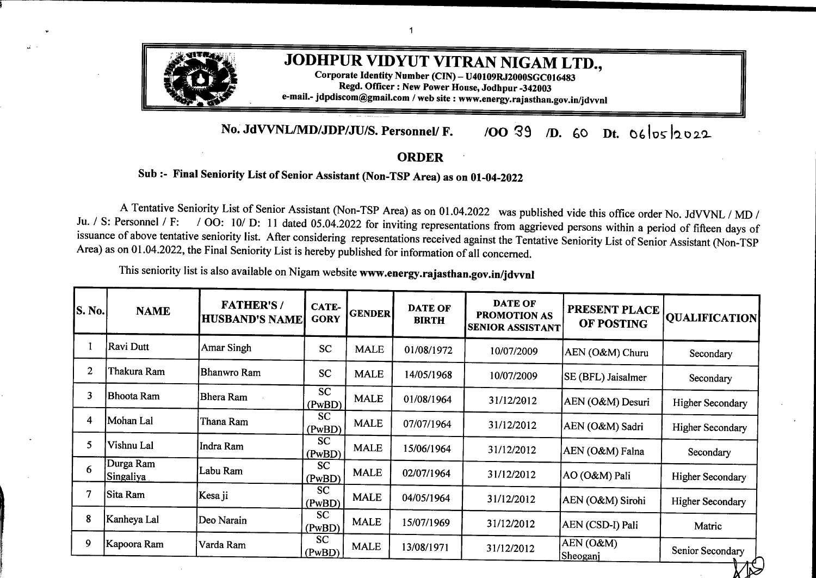| S. No. | <b>NAME</b>                           | <b>FATHER'S/</b><br><b>HUSBAND'S NAME</b> | <b>CATE-</b><br><b>GORY</b> | <b>GENDER</b> | <b>DATE OF</b><br><b>BIRTH</b> | <b>DATE OF</b><br>PROMOTION AS<br><b>SENIOR ASSISTANT</b> | PRESENT PLACE<br>OF POSTING           | <b>OUALIFICATION</b>               |
|--------|---------------------------------------|-------------------------------------------|-----------------------------|---------------|--------------------------------|-----------------------------------------------------------|---------------------------------------|------------------------------------|
| 86     | Purshottam Gaur                       | Rameshwar Prasad                          | <b>GEN</b>                  | <b>MALE</b>   | 07/04/1977                     | 05/10/2016                                                | AEN (O&M) Pipaliya                    | Sr. Sec.                           |
| 87     | Panna Ram                             | Deva Ram                                  | <b>GEN</b><br>(PwBD)        | <b>MALE</b>   | 01/01/1968                     | 05/10/2016                                                | AEN (CSD-II) Pali                     | Secondary                          |
| 88     | Pradeep Kumar                         | Jethu Ram                                 | <b>GEN</b>                  | <b>MALE</b>   | 12/08/1976                     | 05/10/2016                                                | AEN (O&M) Baori                       | Secondary                          |
| 89     | Dala Ram                              | Rawata Ram                                | <b>GEN</b>                  | <b>MALE</b>   | 07/07/1973                     | 05/10/2016                                                | AEN (O&M)<br>Dhumriya                 | Secondary                          |
| 90     | Nawal Kishore Vyas Megh Raj           |                                           | <b>GEN</b>                  | <b>MALE</b>   | 17/03/1970                     | 05/10/2016                                                | <b>XEN (DDUGJY)</b><br><b>Bikaner</b> | Sr. Sec.                           |
| 91     | <b>Alok Pareek</b>                    | S.D. Vyas                                 | <b>GEN</b>                  | <b>MALE</b>   | 17/01/1973                     | 05/10/2016                                                | AEN (CSD-B-V)<br>Jodhpur              | <b>B.COM</b>                       |
| 92     | Devendra Hazrati                      | <b>Bhim Sen Hazrati</b>                   | <b>GEN</b>                  | <b>MALE</b>   | 04/10/1974                     | 05/10/2016                                                | ZCE (BZ) Bikaner                      | XIth                               |
| 93     | Moola Ram                             | Moti Ram                                  | <b>SC</b>                   | <b>MALE</b>   | 01/06/1976                     | 05/10/2016                                                | AEN (O&M)<br>Pindwara                 | Secondary                          |
| 94     | Sobha Pareek                          | <b>Basant Kumar Pareek</b>                | <b>GEN</b>                  | <b>FEMALE</b> | 07/05/1963                     | 05/10/2016                                                | ACOS, Jodhpur                         | Secondary                          |
| 95     | Yunus Khan                            | Bhanwroo Khan                             | <b>GEN</b>                  | <b>MALE</b>   | 15/07/1972                     | 05/10/2016                                                | SE (O&M) Churu                        | Graduate                           |
| 96     | Minakshi                              | Hem Raj Soni                              | <b>GEN</b>                  | <b>FEMALE</b> | 19/11/1977                     | 05/10/2016                                                | AEN (CSD-B-III)<br>Jodhpur            | <b>BA II Year</b>                  |
| 97     | Paras Mal                             | Mangi Lal                                 | <b>SC</b>                   | <b>MALE</b>   | 01/07/1966                     | 05/10/2016                                                | AEN (O&M) Bilara                      | Secondary                          |
| 98     | Roshan Kumar                          | Raj Kumar                                 | <b>SC</b>                   | <b>MALE</b>   | 08/07/1982                     | 05/10/2016                                                | <b>AEN</b> (Rural)<br>Hanumangarh Jn. | <b>BA</b>                          |
| 99     | Kailash Kumar                         | Shankar Lal                               | <b>OBC</b><br>(PwBD)        | <b>MALE</b>   | 16/03/1968                     | 27/07/2018                                                | AEN (O&M) Mandar                      | <b>BA</b>                          |
| 100    | Sudhir Kumar                          | <b>Amar Nath</b>                          | <b>GEN</b>                  | <b>MALE</b>   | 18/09/1969                     | 27/07/2018                                                | AEN (O&M)<br>Suratgarh                | M.B.A.                             |
| 101    | Arjun Singh Sisodia Mangi Lal Sisodia |                                           | <b>GEN</b>                  | <b>MALE</b>   | 01/03/1969                     | 27/07/2018                                                | AEN (O&M) Nandari                     | BA                                 |
| 102    | Jagdish Prasad                        | Dhima Ram                                 | OBC                         | <b>MALE</b>   | 05/05/1972                     | 27/07/2018                                                | AO(IA), Jodhpur                       | <b>BA</b>                          |
| 103    | <b>Bhanwar Singh</b>                  | <b>Inder Singh</b>                        | <b>GEN</b>                  | <b>MALE</b>   | 31/07/1973                     | 27/07/2018                                                | AEN (R) Churu                         | <b>BA</b>                          |
| 104    | Ashok Kr. Joshi                       | <b>Bhola Nath</b>                         | <b>GEN</b>                  | <b>MALE</b>   | 03/09/1967                     | 27/07/2018                                                | SE (DC) Bikaner                       | B. SC., MA LLB,<br>DLL, LLM, B.Ed, |
|        |                                       |                                           |                             |               |                                |                                                           |                                       |                                    |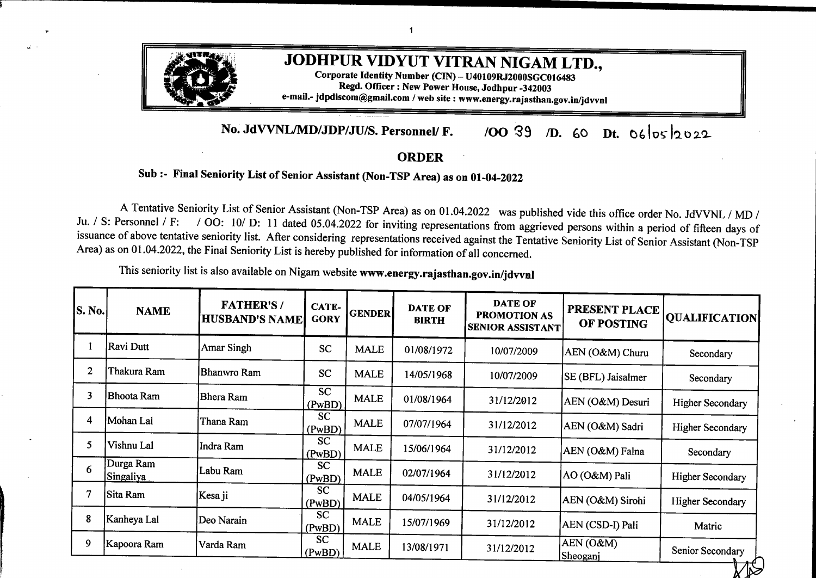| S. No. | <b>NAME</b>                  | <b>FATHER'S/</b><br><b>HUSBAND'S NAME</b> | CATE-<br><b>GORY</b> | <b>GENDER</b> | <b>DATE OF</b><br><b>BIRTH</b> | <b>DATE OF</b><br><b>PROMOTION AS</b><br><b>SENIOR ASSISTANT</b> | PRESENT PLACE<br>OF POSTING  | <b>QUALIFICATION</b> |
|--------|------------------------------|-------------------------------------------|----------------------|---------------|--------------------------------|------------------------------------------------------------------|------------------------------|----------------------|
| 105    | Jagdish Dan Charan           | Gordhan Dan                               | <b>OBC</b>           | <b>MALE</b>   | 21/10/1964                     | 27/07/2018                                                       | <b>ACOS Bikaner</b>          | <b>BA</b>            |
| 106    | Gopal Singh                  | <b>Govind Singh</b>                       | <b>GEN</b>           | <b>MALE</b>   | 27/07/1973                     | 27/07/2018                                                       | <b>AEN</b> (Rural) Churu     | <b>BA</b>            |
| 107    | Rakhi Bhatia                 | D.P. Bhatia                               | <b>GEN</b><br>(PwBD) | <b>FEMALE</b> | 05/08/1973                     | 27/07/2018                                                       | XEN (O&M)<br>Jaisalmer       | Secondary            |
| 108    | Gopal Chand Jat              | Arjun Ram                                 | <b>OBC</b>           | <b>MALE</b>   | 13/04/1974                     | 27/07/2018                                                       | SE (DC) Bikaner              | MA                   |
| 109    | Mukesh Kumar                 | Devendra Kumar                            | <b>GEN</b>           | <b>MALE</b>   | 10/03/1975                     | 27/07/2018                                                       | AEN (R) Jaisalmer            | <b>BA</b>            |
| 110    | Bhagwati                     | Kishan Dan                                | <b>OBC</b><br>(PwBD) | <b>FEMALE</b> | 07/12/1963                     | 27/07/2018                                                       | AEN (O&M) Sindhari           | Secondary            |
| 111    | Praveen Dave                 | Murlidhar Dave                            | <b>GEN</b>           | <b>MALE</b>   | 02/07/1970                     | 27/07/2018                                                       | PRO, Jodhpur                 | <b>B.COM</b>         |
| 112    | Pukh Raj Choudhary           | Gordhan Ram<br>Choudhary                  | OBC                  | <b>MALE</b>   | 09/07/1970                     | 27/07/2018                                                       | Secretary (Admn.)<br>Jodhpur | <b>B.COM</b>         |
| 113    | Rajendra Kumar               | Chhela Ram                                | <b>OBC</b>           | <b>MALE</b>   | 08/09/1976                     | 27/07/2018                                                       | AO(IA), Jodhpur              | <b>BA</b>            |
| 114    | Suresh Jangid                | Sukha Ram                                 | <b>GEN</b><br>(PwBD) | <b>MALE</b>   | 03/05/1974                     | 27/07/2018                                                       | AEN (O&M) Sheo               | Secondary            |
| 115    | Ashok Puri                   | Chiman Puri                               | <b>GEN</b>           | <b>MALE</b>   | 06/06/1966                     | 27/07/2018                                                       | AEN (O&M) Falna              | <b>B.COM</b>         |
| 116    | Santosh Kanwar               | <b>Awtar Singh</b>                        | <b>GEN</b>           | <b>MALE</b>   | 12/11/1972                     | 27/07/2018                                                       | AEN (O&M)<br>Pilibanga       | Secondary            |
| 117    | Amit Kaushik                 | Mahender Kaushik                          | <b>GEN</b>           | <b>MALE</b>   | 27/04/1974                     | 27/07/2018                                                       | $AEN(C-I)$<br>Srignagangar   | <b>BA</b>            |
| 118    | Satish Sharma                | Ram Kishan<br>$\bar{\phantom{a}}$         | <b>GEN</b><br>(PwBD) | <b>MALE</b>   | 13/06/1973                     | 27/07/2018 -                                                     | XEN (DD-II) Bikaner          | <b>B.COM</b>         |
| 119    | Rajeshwari Sharma            | Suresh Kumar                              | <b>GEN</b>           | <b>FEMALE</b> | 15/07/1963                     | 27/07/2018                                                       | XEN (M&P-I) Bikaner          | Secondary            |
| 120    | Madhu Bhatnagar              | <b>Ashok Kumar</b><br>Bhatnagar           | <b>GEN</b>           | <b>FEMALE</b> | 01/01/1966                     | 27/07/2018                                                       | AEN (MT) Bikaner             | <b>BA</b>            |
| 121    | Sanjay Kumar Deora Mohan Lal |                                           | <b>GEN</b>           | <b>MALE</b>   | 22/07/1975                     | 27/07/2018                                                       | XEN (DD-I) Bikaner           | <b>BA</b>            |
| 122    | Yogita Sharma                | Yogesh Sharma                             | <b>GEN</b>           | <b>FEMALE</b> | 22/08/1981                     | 27/07/2018                                                       | XEN (O&M)<br>Hanumangarh     | MA                   |
| 123    | Mahendra Singh               | Shakti Singh                              | <b>GEN</b>           | <b>MALE</b>   | 14/04/1978                     | 27/07/2018                                                       | TA to MD Jaipur              | <b>BA</b>            |
|        |                              |                                           |                      |               |                                |                                                                  |                              |                      |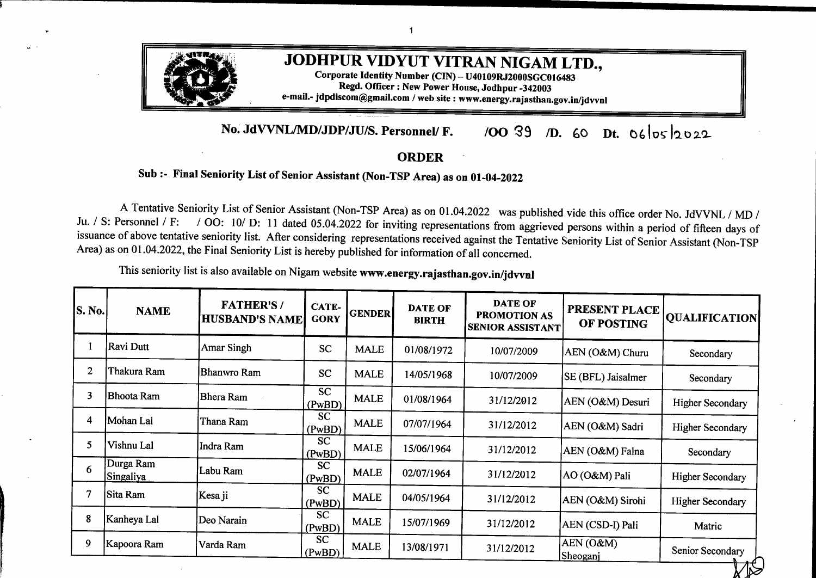| S. No. | <b>NAME</b>             | <b>FATHER'S/</b><br><b>HUSBAND'S NAME</b> | CATE-<br><b>GORY</b> | <b>GENDER</b> | <b>DATE OF</b><br><b>BIRTH</b> | <b>DATE OF</b><br><b>PROMOTION AS</b><br>SENIOR ASSISTANT | PRESENT PLACE<br>OF POSTING       | <b>QUALIFICATION</b> |
|--------|-------------------------|-------------------------------------------|----------------------|---------------|--------------------------------|-----------------------------------------------------------|-----------------------------------|----------------------|
| 124    | Ramesh Chandra          | Shiv Kumar                                | <b>GEN</b>           | <b>MALE</b>   | 22/12/1975                     | 27/07/2018                                                | $SE(0\&M)$<br>Sriganganagar       | <b>MBA</b>           |
| 125    | Gaja Ram                | Mukana Ram                                | <b>OBC</b><br>(PwBD) | <b>MALE</b>   | 01/06/1972                     | 27/07/2018                                                | AEN (O&M) Bhiyad                  | Sr. Sec.             |
| 126    | Prem Sethiya            | <b>Bansi Dhar</b>                         | <b>GEN</b><br>(PwBD) | <b>MALE</b>   | 01/01/1973                     | 27/07/2018                                                | AEN (CSD-I) Barmer                | Sr. Sec.             |
| 127    | Ramesh Giri             | Paman Giri                                | <b>GEN</b><br>(PwBD) | <b>MALE</b>   | 10/07/1973                     | 27/07/2018                                                | AEN (CSD-I) Barmer                | Sr. Sec.             |
| 128    | Jitendra Kumar          | Dhanush Kumar                             | <b>GEN</b><br>(PwBD) | <b>MALE</b>   | 27/09/1974                     | 27/07/2018                                                | ZCE (BMR Zone)<br>Barmer          | MA, PGDLL            |
| 129    | Rana Ram                | Raju Ram                                  | <b>OBC</b><br>(PwBD) | <b>MALE</b>   | 06/07/1974                     | 27/07/2018                                                | XEN (O&M) Barmer                  | MA                   |
| 130    | Maga Ram                | Ishra Ram                                 | <b>OBC</b><br>(PwBD) | <b>MALE</b>   | 20/04/1974                     | 27/07/2018                                                | AEN (O&M) Baytoo                  | Sr. Sec.             |
| 131    | Himmat Singh            | <b>Anand Singh</b>                        | <b>GEN</b>           | <b>MALE</b>   | 30/06/1972                     | 27/07/2018                                                | AEN (O&M) Baori                   | MA                   |
| 132    | Kishan Kumar<br>Ranga   | Kishori Lal                               | <b>GEN</b>           | <b>MALE</b>   | 04/08/1970                     | 27/07/2018                                                | ZCE (BZ) Bikaner                  | <b>BA</b>            |
| 133    | Puspa Sen               | Satya Narain                              | <b>OBC</b>           | <b>FEMALE</b> | 21/11/1965                     | 27/07/2018                                                | AEN (CSD-A-II)<br>Jodhpur         | Secondary            |
| 134    | Suresh Kumar<br>Sharma  | Prabhu Dayal                              | <b>GEN</b>           | <b>MALE</b>   | 01/09/1962                     | 27/07/2018                                                | <b>ACOS Ratangarh</b>             | <b>B.COM</b>         |
| 135    | Sachin Mathur           | <b>Ramesh Chand Mathur</b>                | <b>GEN</b>           | <b>MALE</b>   | 01/12/1980                     | 27/07/2018                                                | AEN (O&M)<br>Sujangarh            | M.COM, MBA           |
| 136    | Rajesh Kumar<br>Sharma  | <b>Bhanwar</b> Lal                        | <b>GEN</b>           | <b>MALE</b>   | 01/07/1979                     | 27/07/2018                                                | AEN (CSD-B-IV)<br>Jodhpur         | <b>BA</b>            |
| 137    | Mahendra Singh          | Jeevan Singh                              | OBC                  | <b>MALE</b>   | 13/05/1977                     | 27/07/2018                                                | AEN (O&M) Falna                   | <b>BA</b>            |
| 138    | Narendra Kumar          | Mangi Lal Nai                             | OBC                  | <b>MALE</b>   | 01/07/1971                     | 27/07/2018                                                | <b>AEN</b> (Rural)<br>Sardarsahar | MA                   |
| 139    | Rajesh Kumar<br>Srimali | Chhotu Lal                                | <b>GEN</b>           | <b>MALE</b>   | 08/08/1974                     | 27/07/2018                                                | ZCE (BZ) Bikaner                  | <b>BA</b>            |
| 140    | Goverdhan Singh         | Panne Singh                               | <b>GEN</b>           | <b>MALE</b>   | 21/05/1976                     | 27/07/2018                                                | <b>SE (DC) Bikaner</b>            | MA                   |
| 141    | Rajender Kumar          | Bihari Lal                                | <b>GEN</b><br>(PwBD) | <b>MALE</b>   | 10/10/1968                     | 27/07/2018                                                | XEN (O&M)<br>Suratgarh            | <b>MBA</b>           |
| 142    | Narander Kumar          | Gauri Shankar                             | <b>GEN</b><br>(PwBD) | <b>MALE</b>   | 01/07/1977                     | 27/07/2018                                                | $SE(0\&M)$<br>Sriganganagar       | <b>B.COM</b>         |

 $\langle \cdot, \cdot \rangle$ 

 $\cdot$ 

 $\mathcal{A}$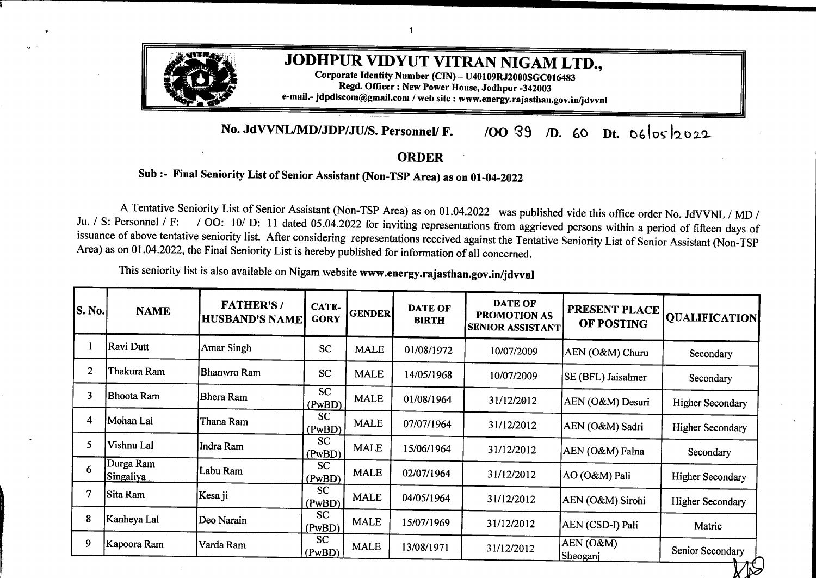| S. No. | <b>NAME</b>                          | <b>FATHER'S/</b><br><b>HUSBAND'S NAME</b> | CATE-<br><b>GORY</b> | <b>GENDER</b> | <b>DATE OF</b><br><b>BIRTH</b> | <b>DATE OF</b><br><b>PROMOTION AS</b><br><b>SENIOR ASSISTANT</b> | PRESENT PLACE<br>OF POSTING   | <b>QUALIFICATION</b> |
|--------|--------------------------------------|-------------------------------------------|----------------------|---------------|--------------------------------|------------------------------------------------------------------|-------------------------------|----------------------|
| 143    | Rajender Kumar                       | Manful Ram                                | <b>OBC</b><br>(PwBD) | <b>MALE</b>   | 15/06/1976                     | 27/07/2018                                                       | AEN (O&M)<br>Gharsana         | Sr. Sec.             |
| 144    | Mukhvinder Singh                     | Tarsem Singh                              | <b>GEN</b><br>(PwBD) | <b>MALE</b>   | 19/01/1977                     | 27/07/2018                                                       | AEN (O&M)<br>Srikaranpur      | Sr. Sec.             |
| 145    | Rajender Kumar                       | Chunni Ram                                | <b>GEN</b><br>(PwBD) | <b>MALE</b>   | 02/01/1979                     | 27/07/2018                                                       | AEN (O&M) Lalgarh<br>Jattan   | <b>BA</b>            |
| 146    | Vinod Kumar Pareek Om Prakash Pareek |                                           | <b>GEN</b><br>(PwBD) | <b>MALE</b>   | 22/07/1972                     | 27/07/2018                                                       | AEN (M&P-II)<br>Sriganganagar | <b>B.Sc</b>          |
| 147    | Naresh Garg                          | Banarshi Dass                             | <b>GEN</b><br>(PwBD) | <b>MALE</b>   | 01/12/1972                     | 27/07/2018                                                       | AEN (O&M)<br>Sadulsahar       | MA                   |
| 148    | <b>Bansi</b> Lal                     | Shab Ram                                  | <b>OBC</b><br>(PwBD) | <b>MALE</b>   | 10/04/1977                     | 27/07/2018                                                       | $AEN (C-I)$<br>Srignagangar   | <b>BA</b>            |
| 149    | Umaid Singh Soda                     | Jagdish Singh Soda                        | <b>GEN</b>           | <b>MALE</b>   | 26/01/1977                     | 27/07/2018                                                       | DS (Pension) Jodhpur          | <b>BA</b>            |
| 150    | Manoj Purohit                        | Udairaj Purohit                           | <b>GEN</b>           | <b>MALE</b>   | 12/12/1977                     | 27/07/2018                                                       | Secretary (Admn.)<br>Jodhpur  | MA, DCLL             |
| 151    | <b>Blor Singh</b>                    | <b>Mangal Singh</b>                       | <b>OBC</b><br>(PwBD) | <b>MALE</b>   | 02/05/1969                     | 27/07/2018                                                       | $AEN (C-I)$<br>Srignagangar   | MA, BED              |
| 152    | <b>Amreek Singh</b>                  | <b>Bishan Singh</b>                       | <b>GEN</b><br>(PwBD) | <b>MALE</b>   | 10/12/1977                     | 27/07/2018                                                       | AEN (O&M)<br>Gharsana         | <b>BA-II Year</b>    |
| 153    | Manoj Kumar                          | Shiv Kumar                                | <b>SC</b>            | <b>MALE</b>   | 07/03/1979                     | 27/07/2018                                                       | AEN (O&M)<br>Srivijaynagar    | <b>BA</b>            |
| 154    | Sankala Ram                          | Aala Ram                                  | <b>SC</b>            | <b>MALE</b>   | 15/10/1977                     | 27/07/2018                                                       | AEN (O&M) Reodar              | <b>BA</b>            |
| 155    | Jitendra Chouhan                     | Champa Lal                                | <b>SC</b>            | <b>MALE</b>   | 11/07/1985                     | 27/07/2018                                                       | AEN (O&M) Bilara              | <b>BA</b>            |
|        |                                      |                                           |                      |               |                                |                                                                  |                               |                      |

 $\ddot{\bullet}$ 

 $\sim$ 

 $\ddot{\phantom{a}}$